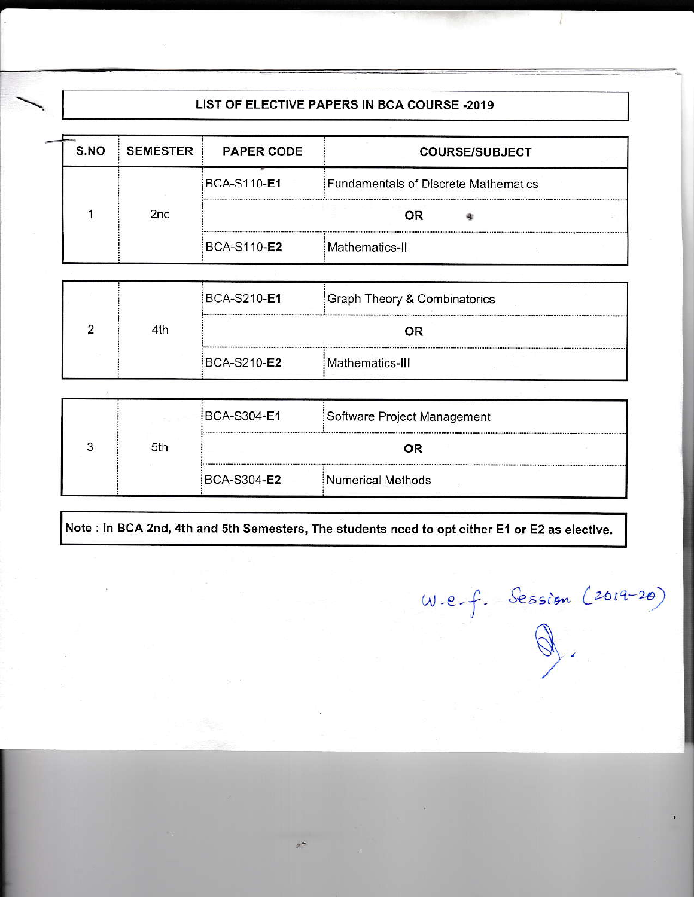# LIST OF ELECTIVE PAPERS IN BCA COURSE -2019

| S.NO | <b>SEMESTER</b> | <b>PAPER CODE</b>  | <b>COURSE/SUBJECT</b>                       |  |
|------|-----------------|--------------------|---------------------------------------------|--|
|      |                 | <b>BCA-S110-E1</b> | <b>Fundamentals of Discrete Mathematics</b> |  |
|      | 2nd             | 0R                 |                                             |  |
|      |                 | <b>BCA-S110-E2</b> | Mathematics-II                              |  |
|      |                 |                    |                                             |  |
|      |                 | <b>BCA-S210-E1</b> | Graph Theory & Combinatorics                |  |
|      | 4th             | OR                 |                                             |  |
|      |                 |                    |                                             |  |

|  | 5th | BCA-S304-E1         | Software Project Management |
|--|-----|---------------------|-----------------------------|
|  |     | OR                  |                             |
|  |     | BCA-S304- <b>E2</b> | Numerical Methods           |

Note : In BCA 2nd, 4th and 5th Semesters, The students need to opt either E1 or E2 as elective.

W.e.f. Session (2019-20)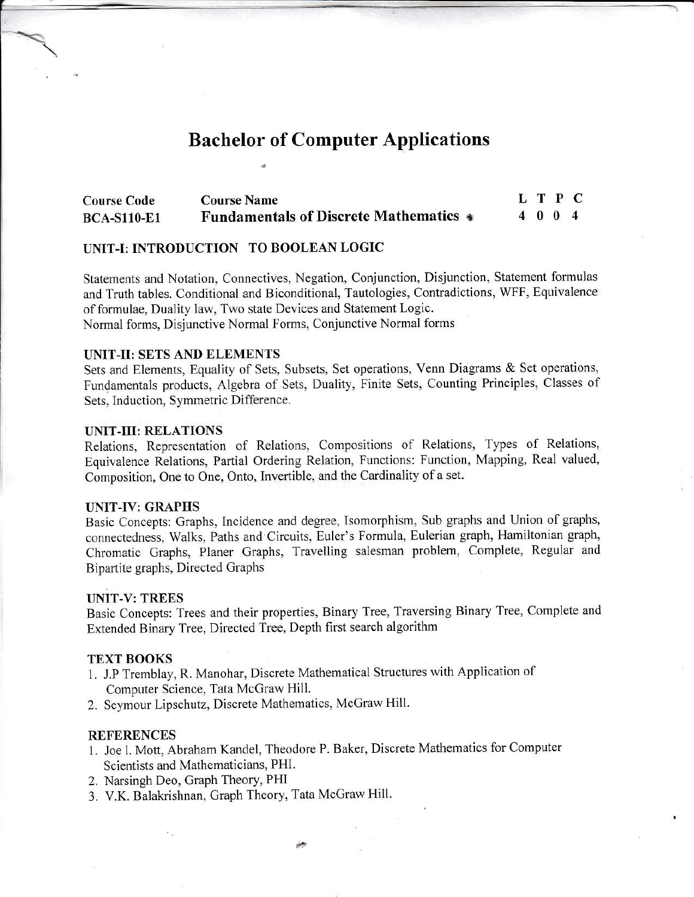# **Bachelor of Computer Applications**

| <b>Course Code</b> | <b>Course Name</b>                            | L T P C |  |  |
|--------------------|-----------------------------------------------|---------|--|--|
| <b>BCA-S110-E1</b> | <b>Fundamentals of Discrete Mathematics •</b> | 4004    |  |  |

## UNIT-I: INTRODUCTION TO BOOLEAN LOGIC

Statements and Notation, Connectives, Negation, Conjunction, Disjunction, Statement formulas and Truth tables. Conditional and Biconditional, Tautologies, Contradictions, WFF, Equivalence of formulae, Duality law, Two state Devices and Statement Logic. Normal forms, Disjunctive Normal Forms, Conjunctive Normal forms

#### UNIT-II: SETS AND ELEMENTS

Sets and Elements, Equality of Sets, Subsets, Set operations, Venn Diagrams & Set operations, Fundamentals products, Algebra of Sets, Duality, Finite Sets, Counting Principles, Classes of Sets, Induction, Symmetric Difference.

#### **UNIT-III: RELATIONS**

Relations, Representation of Relations, Compositions of Relations, Types of Relations, Equivalence Relations, Partial Ordering Relation, Functions: Function, Mapping, Real valued, Composition, One to One, Onto, Invertible, and the Cardinality of a set.

#### **UNIT-IV: GRAPHS**

Basic Concepts: Graphs, Incidence and degree, Isomorphism, Sub graphs and Union of graphs, connectedness, Walks, Paths and Circuits, Euler's Formula, Eulerian graph, Hamiltonian graph, Chromatic Graphs, Planer Graphs, Travelling salesman problem, Complete, Regular and Bipartite graphs, Directed Graphs

#### **UNIT-V: TREES**

Basic Concepts: Trees and their properties, Binary Tree, Traversing Binary Tree, Complete and Extended Binary Tree, Directed Tree, Depth first search algorithm

#### **TEXT BOOKS**

- 1. J.P Tremblay, R. Manohar, Discrete Mathematical Structures with Application of Computer Science, Tata McGraw Hill.
- 2. Seymour Lipschutz, Discrete Mathematics, McGraw Hill.

#### **REFERENCES**

- 1. Joe l. Mott, Abraham Kandel, Theodore P. Baker, Discrete Mathematics for Computer Scientists and Mathematicians, PHI.
- 2. Narsingh Deo, Graph Theory, PHI
- 3. V.K. Balakrishnan, Graph Theory, Tata McGraw Hill.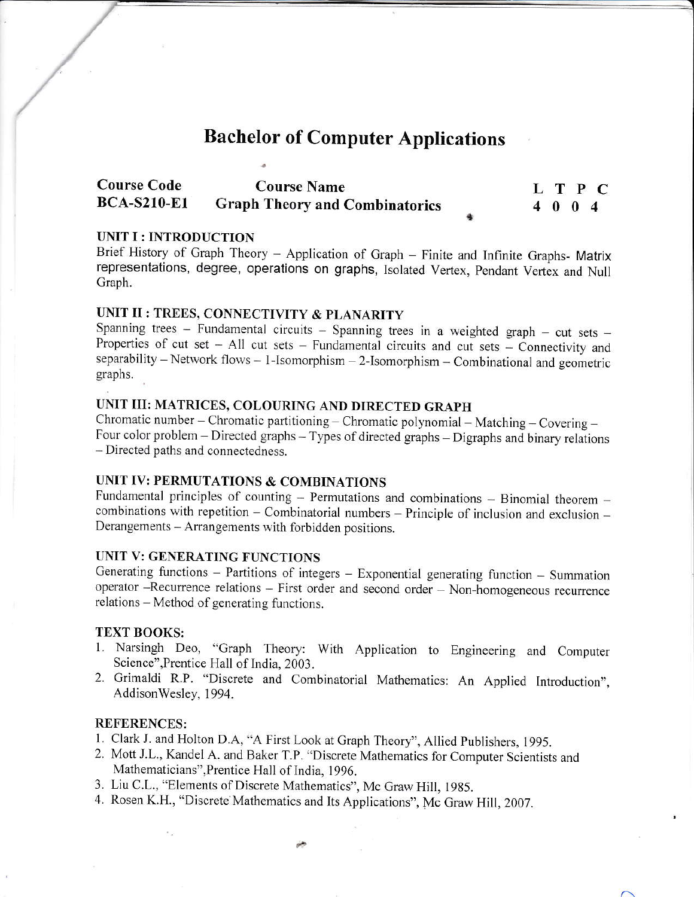# **Bachelor of Computer Applications**

| <b>Course Code</b> | <b>Course Name</b>                    |         |  | L T P C |
|--------------------|---------------------------------------|---------|--|---------|
| <b>BCA-S210-E1</b> | <b>Graph Theory and Combinatorics</b> | 4 0 0 4 |  |         |

# UNIT I : INTRODUCTION

Brief History of Graph Theory - Application of Graph - Finite and Infinite Graphs- Matrix representations, degree, operations on graphs, Isolated Vertex, Pendant Vertex and Null Graph.

# UNIT II : TREES, CONNECTIVITY & PLANARITY

Spanning trees - Fundamental circuits - Spanning trees in a weighted graph - cut sets -Properties of cut set - All cut sets - Fundamental circuits and cut sets - Connectivity and separability - Network flows - 1-Isomorphism - 2-Isomorphism - Combinational and geometric graphs.

# UNIT III: MATRICES, COLOURING AND DIRECTED GRAPH

Chromatic number - Chromatic partitioning - Chromatic polynomial - Matching - Covering -Four color problem - Directed graphs - Types of directed graphs - Digraphs and binary relations - Directed paths and connectedness.

# UNIT IV: PERMUTATIONS & COMBINATIONS

Fundamental principles of counting - Permutations and combinations - Binomial theorem combinations with repetition - Combinatorial numbers - Principle of inclusion and exclusion -Derangements - Arrangements with forbidden positions.

# UNIT V: GENERATING FUNCTIONS

Generating functions - Partitions of integers - Exponential generating function - Summation operator --Recurrence relations -- First order and second order -- Non-homogeneous recurrence relations – Method of generating functions.

# **TEXT BOOKS:**

- 1. Narsingh Deo, "Graph Theory: With Application to Engineering and Computer Science", Prentice Hall of India, 2003.
- 2. Grimaldi R.P. "Discrete and Combinatorial Mathematics: An Applied Introduction", AddisonWesley, 1994.

# **REFERENCES:**

- 1. Clark J. and Holton D.A, "A First Look at Graph Theory", Allied Publishers, 1995.
- 2. Mott J.L., Kandel A. and Baker T.P. "Discrete Mathematics for Computer Scientists and Mathematicians", Prentice Hall of India, 1996.
- 3. Liu C.L., "Elements of Discrete Mathematics", Mc Graw Hill, 1985.
- 4. Rosen K.H., "Discrete Mathematics and Its Applications", Mc Graw Hill, 2007.